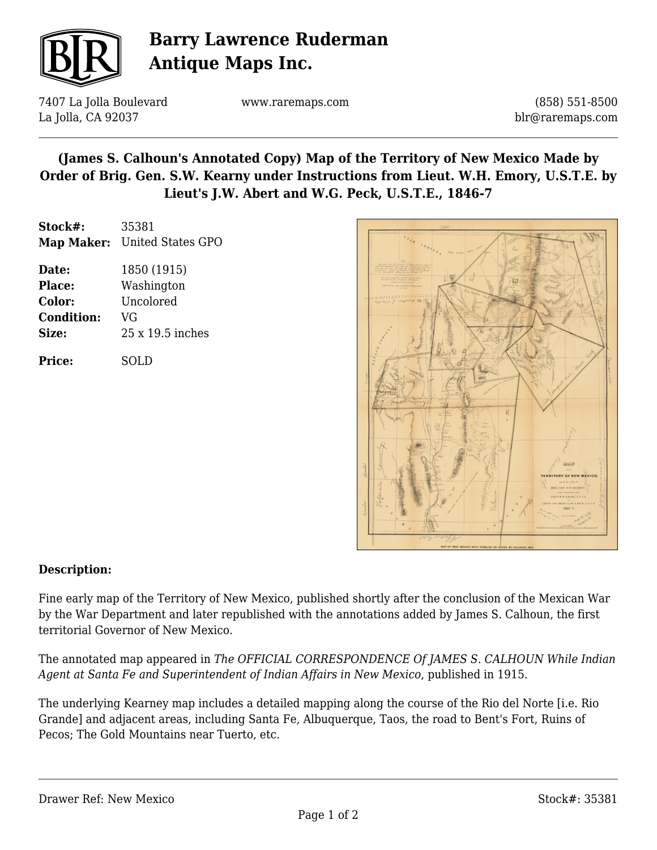

# **Barry Lawrence Ruderman Antique Maps Inc.**

7407 La Jolla Boulevard La Jolla, CA 92037

www.raremaps.com

(858) 551-8500 blr@raremaps.com

## **(James S. Calhoun's Annotated Copy) Map of the Territory of New Mexico Made by Order of Brig. Gen. S.W. Kearny under Instructions from Lieut. W.H. Emory, U.S.T.E. by Lieut's J.W. Abert and W.G. Peck, U.S.T.E., 1846-7**

| Stock#: | 35381                        |
|---------|------------------------------|
|         | Map Maker: United States GPO |
| Date:   | 1850 (1915)                  |

**Place:** Washington **Color:** Uncolored **Condition:** VG **Size:** 25 x 19.5 inches

**Price:** SOLD



#### **Description:**

Fine early map of the Territory of New Mexico, published shortly after the conclusion of the Mexican War by the War Department and later republished with the annotations added by James S. Calhoun, the first territorial Governor of New Mexico.

The annotated map appeared in *The OFFICIAL CORRESPONDENCE Of JAMES S. CALHOUN While Indian Agent at Santa Fe and Superintendent of Indian Affairs in New Mexico*, published in 1915.

The underlying Kearney map includes a detailed mapping along the course of the Rio del Norte [i.e. Rio Grande] and adjacent areas, including Santa Fe, Albuquerque, Taos, the road to Bent's Fort, Ruins of Pecos; The Gold Mountains near Tuerto, etc.